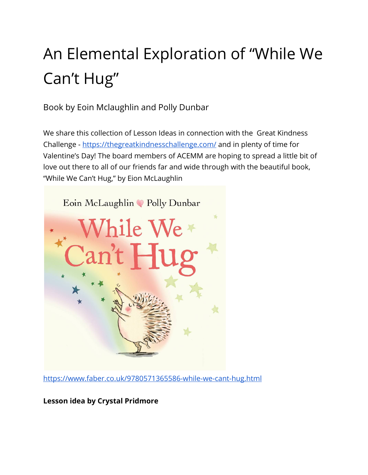# An Elemental Exploration of "While We Can't Hug"

#### Book by Eoin Mclaughlin and Polly Dunbar

We share this collection of Lesson Ideas in connection with the Great Kindness Challenge -<https://thegreatkindnesschallenge.com/> and in plenty of time for Valentine's Day! The board members of ACEMM are hoping to spread a little bit of love out there to all of our friends far and wide through with the beautiful book, "While We Can't Hug," by Eion McLaughlin



<https://www.faber.co.uk/9780571365586-while-we-cant-hug.html>

**Lesson idea by Crystal Pridmore**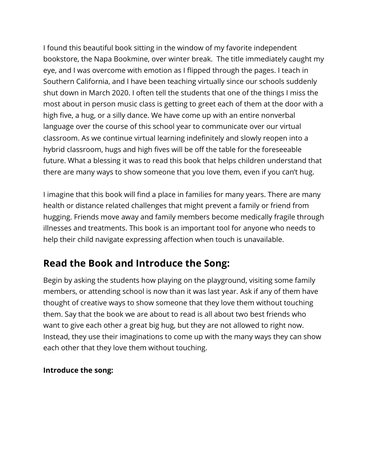I found this beautiful book sitting in the window of my favorite independent bookstore, the Napa Bookmine, over winter break. The title immediately caught my eye, and I was overcome with emotion as I flipped through the pages. I teach in Southern California, and I have been teaching virtually since our schools suddenly shut down in March 2020. I often tell the students that one of the things I miss the most about in person music class is getting to greet each of them at the door with a high five, a hug, or a silly dance. We have come up with an entire nonverbal language over the course of this school year to communicate over our virtual classroom. As we continue virtual learning indefinitely and slowly reopen into a hybrid classroom, hugs and high fives will be off the table for the foreseeable future. What a blessing it was to read this book that helps children understand that there are many ways to show someone that you love them, even if you can't hug.

I imagine that this book will find a place in families for many years. There are many health or distance related challenges that might prevent a family or friend from hugging. Friends move away and family members become medically fragile through illnesses and treatments. This book is an important tool for anyone who needs to help their child navigate expressing affection when touch is unavailable.

## **Read the Book and Introduce the Song:**

Begin by asking the students how playing on the playground, visiting some family members, or attending school is now than it was last year. Ask if any of them have thought of creative ways to show someone that they love them without touching them. Say that the book we are about to read is all about two best friends who want to give each other a great big hug, but they are not allowed to right now. Instead, they use their imaginations to come up with the many ways they can show each other that they love them without touching.

#### **Introduce the song:**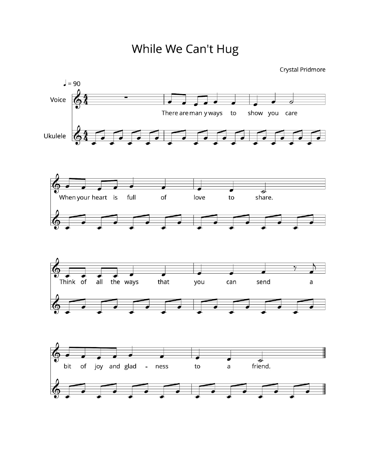While We Can't Hug

Crystal Pridmore

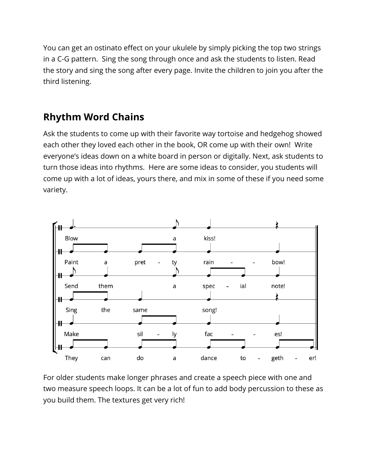You can get an ostinato effect on your ukulele by simply picking the top two strings in a C-G pattern. Sing the song through once and ask the students to listen. Read the story and sing the song after every page. Invite the children to join you after the third listening.

# **Rhythm Word Chains**

Ask the students to come up with their favorite way tortoise and hedgehog showed each other they loved each other in the book, OR come up with their own! Write everyone's ideas down on a white board in person or digitally. Next, ask students to turn those ideas into rhythms. Here are some ideas to consider, you students will come up with a lot of ideas, yours there, and mix in some of these if you need some variety.



For older students make longer phrases and create a speech piece with one and two measure speech loops. It can be a lot of fun to add body percussion to these as you build them. The textures get very rich!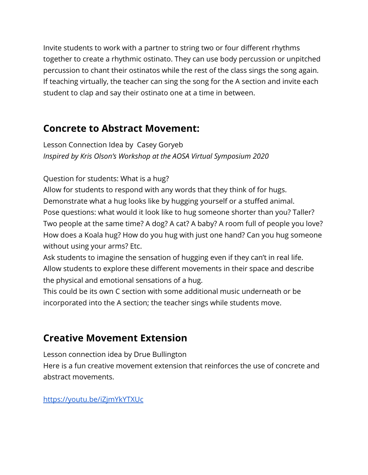Invite students to work with a partner to string two or four different rhythms together to create a rhythmic ostinato. They can use body percussion or unpitched percussion to chant their ostinatos while the rest of the class sings the song again. If teaching virtually, the teacher can sing the song for the A section and invite each student to clap and say their ostinato one at a time in between.

## **Concrete to Abstract Movement:**

Lesson Connection Idea by Casey Goryeb *Inspired by Kris Olson's Workshop at the AOSA Virtual Symposium 2020*

Question for students: What is a hug?

Allow for students to respond with any words that they think of for hugs. Demonstrate what a hug looks like by hugging yourself or a stuffed animal. Pose questions: what would it look like to hug someone shorter than you? Taller? Two people at the same time? A dog? A cat? A baby? A room full of people you love? How does a Koala hug? How do you hug with just one hand? Can you hug someone without using your arms? Etc.

Ask students to imagine the sensation of hugging even if they can't in real life. Allow students to explore these different movements in their space and describe the physical and emotional sensations of a hug.

This could be its own C section with some additional music underneath or be incorporated into the A section; the teacher sings while students move.

## **Creative Movement Extension**

Lesson connection idea by Drue Bullington

Here is a fun creative movement extension that reinforces the use of concrete and abstract movements.

[https://youtu.be/iZjmYkYTXUc](https://youtu.be/Wpu0CaSSsIU)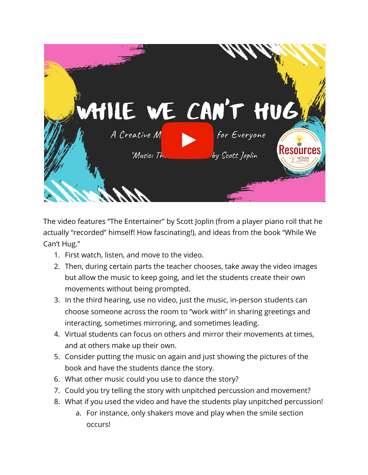

The video features "The Entertainer" by Scott Joplin (from a player piano roll that he actually "recorded" himself! How fascinating!), and ideas from the book "While We Can't Hug."

- 1. First watch, listen, and move to the video.
- 2. Then, during certain parts the teacher chooses, take away the video images but allow the music to keep going, and let the students create their own movements without being prompted.
- 3. In the third hearing, use no video, just the music, in-person students can choose someone across the room to "work with" in sharing greetings and interacting, sometimes mirroring, and sometimes leading.
- 4. Virtual students can focus on others and mirror their movements at times, and at others make up their own.
- 5. Consider putting the music on again and just showing the pictures of the book and have the students dance the story.
- 6. What other music could you use to dance the story?
- 7. Could you try telling the story with unpitched percussion and movement?
- 8. What if you used the video and have the students play unpitched percussion!
	- a. For instance, only shakers move and play when the smile section occurs!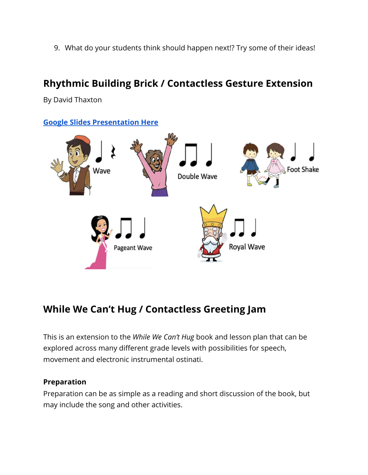9. What do your students think should happen next!? Try some of their ideas!

## **Rhythmic Building Brick / Contactless Gesture Extension**

By David Thaxton



### **While We Can't Hug / Contactless Greeting Jam**

This is an extension to the *While We Can't Hug* book and lesson plan that can be explored across many different grade levels with possibilities for speech, movement and electronic instrumental ostinati.

#### **Preparation**

Preparation can be as simple as a reading and short discussion of the book, but may include the song and other activities.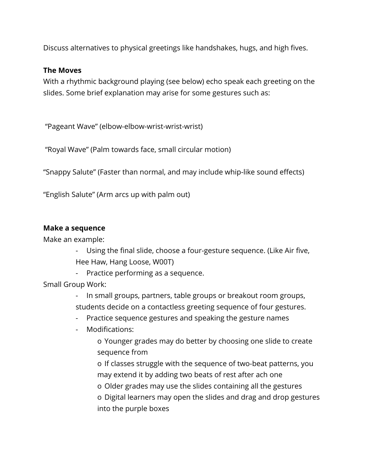Discuss alternatives to physical greetings like handshakes, hugs, and high fives.

#### **The Moves**

With a rhythmic background playing (see below) echo speak each greeting on the slides. Some brief explanation may arise for some gestures such as:

"Pageant Wave" (elbow-elbow-wrist-wrist-wrist)

"Royal Wave" (Palm towards face, small circular motion)

"Snappy Salute" (Faster than normal, and may include whip-like sound effects)

"English Salute" (Arm arcs up with palm out)

#### **Make a sequence**

Make an example:

- Using the final slide, choose a four-gesture sequence. (Like Air five, Hee Haw, Hang Loose, W00T)

- Practice performing as a sequence.

Small Group Work:

- In small groups, partners, table groups or breakout room groups, students decide on a contactless greeting sequence of four gestures.
- Practice sequence gestures and speaking the gesture names
- Modifications:

o Younger grades may do better by choosing one slide to create sequence from

o If classes struggle with the sequence of two-beat patterns, you may extend it by adding two beats of rest after ach one

o Older grades may use the slides containing all the gestures

o Digital learners may open the slides and drag and drop gestures into the purple boxes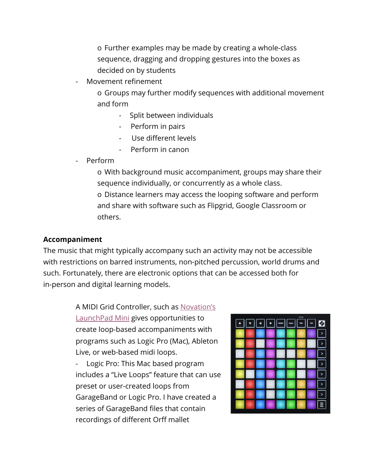o Further examples may be made by creating a whole-class sequence, dragging and dropping gestures into the boxes as decided on by students

- Movement refinement

o Groups may further modify sequences with additional movement and form

- Split between individuals
- Perform in pairs
- Use different levels
- Perform in canon
- Perform

o With background music accompaniment, groups may share their sequence individually, or concurrently as a whole class. o Distance learners may access the looping software and perform and share with software such as Flipgrid, Google Classroom or others.

#### **Accompaniment**

The music that might typically accompany such an activity may not be accessible with restrictions on barred instruments, non-pitched percussion, world drums and such. Fortunately, there are electronic options that can be accessed both for in-person and digital learning models.

> A MIDI Grid Controller, such a[s Novation's](https://novationmusic.com/en/launch/launchpad-mini) [LaunchPad Mini](https://novationmusic.com/en/launch/launchpad-mini) gives opportunities to create loop-based accompaniments with programs such as Logic Pro (Mac), Ableton Live, or web-based midi loops.

- Logic Pro: This Mac based program includes a "Live Loops" feature that can use preset or user-created loops from GarageBand or Logic Pro. I have created a series of GarageBand files that contain recordings of different Orff mallet

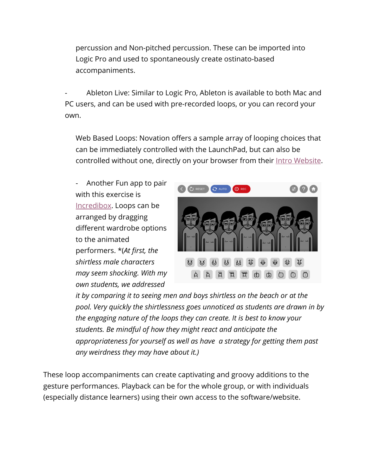percussion and Non-pitched percussion. These can be imported into Logic Pro and used to spontaneously create ostinato-based accompaniments.

Ableton Live: Similar to Logic Pro, Ableton is available to both Mac and PC users, and can be used with pre-recorded loops, or you can record your own.

Web Based Loops: Novation offers a sample array of looping choices that can be immediately controlled with the LaunchPad, but can also be controlled without one, directly on your browser from their [Intro Website](https://intro.novationmusic.com/viral-hiphop).

- Another Fun app to pair with this exercise i[s](https://www.incredibox.com/demo/) [Incredibox](https://www.incredibox.com/demo/). Loops can be arranged by dragging different wardrobe options to the animated performers. \*(*At first, the shirtless male characters may seem shocking. With my own students, we addressed*



*it by comparing it to seeing men and boys shirtless on the beach or at the pool. Very quickly the shirtlessness goes unnoticed as students are drawn in by the engaging nature of the loops they can create. It is best to know your students. Be mindful of how they might react and anticipate the appropriateness for yourself as well as have a strategy for getting them past any weirdness they may have about it.)*

These loop accompaniments can create captivating and groovy additions to the gesture performances. Playback can be for the whole group, or with individuals (especially distance learners) using their own access to the software/website.